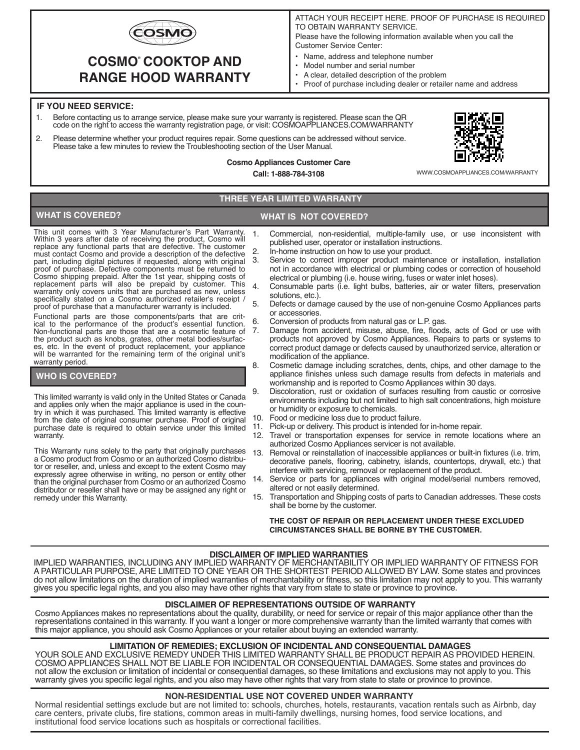

# **COSMO COOKTOP AND ® RANGE HOOD WARRANTY**

- ATTACH YOUR RECEIPT HERE. PROOF OF PURCHASE IS REQUIRED TO OBTAIN WARRANTY SERVICE. Please have the following information available when you call the Customer Service Center:
- Name, address and telephone number
- Model number and serial number
- A clear, detailed description of the problem
- Proof of purchase including dealer or retailer name and address

### **IF YOU NEED SERVICE:**

- 1. Before contacting us to arrange service, please make sure your warranty is registered. Please scan the QR code on the right to access the warranty registration page, or visit: COSMOAPPLIANCES.COM/WARRANTY
- 2. Please determine whether your product requires repair. Some questions can be addressed without service. Please take a few minutes to review the Troubleshooting section of the User Manual.



WWW.COSMOAPPLIANCES.COM/WARRANTY

# **THREE YEAR LIMITED WARRANTY**

**Cosmo Appliances Customer Care Call: 1-888-784-3108**

# **WHAT IS COVERED? WHAT IS NOT COVERED?**

This unit comes with 3 Year Manufacturer's Part Warranty. Within 3 years after date of receiving the product, Cosmo will replace any functional parts that are defective. The customer must contact Cosmo and provide a description of the defective part, including digital pictures if requested, along with original proof of purchase. Defective components must be returned to Cosmo shipping prepaid. After the 1st year, shipping costs of replacement parts will also be prepaid by customer. This warranty only covers units that are purchased as new, unless specifically stated on a Cosmo authorized retailer's receipt / proof of purchase that a manufacturer warranty is included.

Functional parts are those components/parts that are critical to the performance of the product's essential function. Non-functional parts are those that are a cosmetic feature of the product such as knobs, grates, other metal bodies/surfaces, etc. In the event of product replacement, your appliance will be warranted for the remaining term of the original unit's warranty period.

#### **WHO IS COVERED?**

This limited warranty is valid only in the United States or Canada and applies only when the major appliance is used in the coun- try in which it was purchased. This limited warranty is effective from the date of original consumer purchase. Proof of original purchase date is required to obtain service under this limited warranty.

This Warranty runs solely to the party that originally purchases a Cosmo product from Cosmo or an authorized Cosmo distributor or reseller, and, unless and except to the extent Cosmo may expressly agree otherwise in writing, no person or entity other than the original purchaser from Cosmo or an authorized Cosmo distributor or reseller shall have or may be assigned any right or remedy under this Warranty.

- 1. Commercial, non-residential, multiple-family use, or use inconsistent with published user, operator or installation instructions.
- 2. In-home instruction on how to use your product.<br>3. Service to correct improper product maintena
- Service to correct improper product maintenance or installation, installation not in accordance with electrical or plumbing codes or correction of household electrical or plumbing (i.e. house wiring, fuses or water inlet hoses).
- 4. Consumable parts (i.e. light bulbs, batteries, air or water filters, preservation solutions, etc.).
- 5. Defects or damage caused by the use of non-genuine Cosmo Appliances parts or accessories.
- 6. Conversion of products from natural gas or L.P. gas.
	- Damage from accident, misuse, abuse, fire, floods, acts of God or use with products not approved by Cosmo Appliances. Repairs to parts or systems to correct product damage or defects caused by unauthorized service, alteration or modification of the appliance.
- 8. Cosmetic damage including scratches, dents, chips, and other damage to the appliance finishes unless such damage results from defects in materials and workmanship and is reported to Cosmo Appliances within 30 days.
- 9. Discoloration, rust or oxidation of surfaces resulting from caustic or corrosive environments including but not limited to high salt concentrations, high moisture or humidity or exposure to chemicals.
- 10. Food or medicine loss due to product failure.<br>11. Pick-up or delivery. This product is intended f
- 11. Pick-up or delivery. This product is intended for in-home repair.<br>12. Travel or transportation expenses for service in remote loc
- Travel or transportation expenses for service in remote locations where an authorized Cosmo Appliances servicer is not available.
- 13. Removal or reinstallation of inaccessible appliances or built-in fixtures (i.e. trim, decorative panels, flooring, cabinetry, islands, countertops, drywall, etc.) that interfere with servicing, removal or replacement of the product.
- Service or parts for appliances with original model/serial numbers removed, altered or not easily determined.
- 15. Transportation and Shipping costs of parts to Canadian addresses. These costs shall be borne by the customer.

#### **THE COST OF REPAIR OR REPLACEMENT UNDER THESE EXCLUDED CIRCUMSTANCES SHALL BE BORNE BY THE CUSTOMER.**

#### **DISCLAIMER OF IMPLIED WARRANTIES**

IMPLIED WARRANTIES, INCLUDING ANY IMPLIED WARRANTY OF MERCHANTABILITY OR IMPLIED WARRANTY OF FITNESS FOR A PARTICULAR PURPOSE, ARE LIMITED TO ONE YEAR OR THE SHORTEST PERIOD ALLOWED BY LAW. Some states and provinces do not allow limitations on the duration of implied warranties of merchantability or fitness, so this limitation may not apply to you. This warranty gives you specific legal rights, and you also may have other rights that vary from state to state or province to province.

#### **DISCLAIMER OF REPRESENTATIONS OUTSIDE OF WARRANTY**

Cosmo Appliances makes no representations about the quality, durability, or need for service or repair of this major appliance other than the representations contained in this warranty. If you want a longer or more comprehensive warranty than the limited warranty that comes with this major appliance, you should ask Cosmo Appliances or your retailer about buying an extended warranty.

## **LIMITATION OF REMEDIES; EXCLUSION OF INCIDENTAL AND CONSEQUENTIAL DAMAGES**

YOUR SOLE AND EXCLUSIVE REMEDY UNDER THIS LIMITED WARRANTY SHALL BE PRODUCT REPAIR AS PROVIDED HEREIN. COSMO APPLIANCES SHALL NOT BE LIABLE FOR INCIDENTAL OR CONSEQUENTIAL DAMAGES. Some states and provinces do not allow the exclusion or limitation of incidental or consequential damages, so these limitations and exclusions may not apply to you. This warranty gives you specific legal rights, and you also may have other rights that vary from state to state or province to province.

### **NON-RESIDENTIAL USE NOT COVERED UNDER WARRANTY**

Normal residential settings exclude but are not limited to: schools, churches, hotels, restaurants, vacation rentals such as Airbnb, day care centers, private clubs, fire stations, common areas in multi-family dwellings, nursing homes, food service locations, and institutional food service locations such as hospitals or correctional facilities.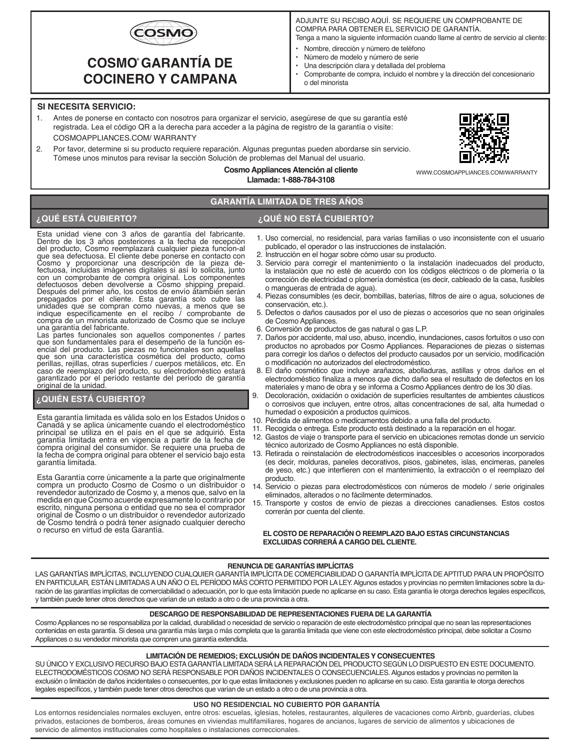

# **COSMO GARANTÍA DE ® COCINERO Y CAMPANA**

# ADJUNTE SU RECIBO AQUÍ. SE REQUIERE UN COMPROBANTE DE COMPRA PARA OBTENER EL SERVICIO DE GARANTÍA.

Tenga a mano la siguiente información cuando llame al centro de servicio al cliente:

- Nombre, dirección y número de teléfono<br>• Número de modelo y número de serie
- Número de modelo y número de serie
- Una descripción clara y detallada del problema
- Comprobante de compra, incluido el nombre y la dirección del concesionario o del minorista

#### **SI NECESITA SERVICIO:**

- 1. Antes de ponerse en contacto con nosotros para organizar el servicio, asegúrese de que su garantía esté registrada. Lea el código QR a la derecha para acceder a la página de registro de la garantía o visite: COSMOAPPLIANCES.COM/ WARRANTY
- 2. Por favor, determine si su producto requiere reparación. Algunas preguntas pueden abordarse sin servicio. Tómese unos minutos para revisar la sección Solución de problemas del Manual del usuario.



WWW.COSMOAPPLIANCES.COM/WARRANTY

**Cosmo Appliances Atención al cliente Llamada: 1-888-784-3108**

# **GARANTÍA LIMITADA DE TRES AÑOS**

# **¿QUÉ ESTÁ CUBIERTO? ¿QUÉ NO ESTÁ CUBIERTO?**

Esta unidad viene con 3 años de garantía del fabricante. Dentro de los 3 años posteriores a la fecha de recepción del producto, Cosmo reemplazará cualquier pieza funcion-al que sea defectuosa. El cliente debe ponerse en contacto con Cosmo y proporcionar una descripción de la pieza de-fectuosa, incluidas imágenes digitales si así lo solicita, junto con un comprobante de compra original. Los componentes defectuosos deben devolverse a Cosmo shipping prepaid. Después del primer año, los costos de envío ătambién serán<br>prepagados por el cliente. Esta garantía solo cubre las<br>unidades que se compran como nuevas, a menos que se<br>indíque específicamente en el recibo / comprobante de<br>c una garantía del fabricante.

Las partes funcionales son aquellos componentes / partes que son fundamentales para el desempeño de la función esencial del producto. Las piezas no funcionales son aquellas que son una característica cosmética del producto, como perillas, rejillas, otras superficies / cuerpos metálicos, etc. En caso de reemplazo del producto, su electrodoméstico estará garantizado por el período restante del período de garantía original de la unidad.

## **¿QUIÉN ESTÁ CUBIERTO?**

Esta garantía limitada es válida solo en los Estados Unidos o Canadá y se aplica únicamente cuando el electrodoméstico principal se utiliza en el país en el que se adquirió. Esta garantía limitada entra en vigencia a partir de la fecha de compra original del consumidor. Se requiere una prueba de la fecha de compra original para obtener el servicio bajo esta garantía limitada.

Esta Garantía corre únicamente a la parte que originalmente compra un producto Cosmo de Cosmo o un distribuidor o revendedor autorizado de Cosmo y, a menos que, salvo en la medida en que Cosmo acuerde expresamente lo contrario por escrito, ninguna persona o entidad que no sea el comprador original de Cosmo o un distribuidor o revendedor autorizado de Cosmo tendrá o podrá tener asignado cualquier derecho o recurso en virtud de esta Garantía.

- 1. Uso comercial, no residencial, para varias familias o uso inconsistente con el usuario publicado, el operador o las instrucciones de instalación.
- 2. Instrucción en el hogar sobre cómo usar su producto.
- 3. Servicio para corregir el mantenimiento o la instalación inadecuados del producto, la instalación que no esté de acuerdo con los códigos eléctricos o de plomería o la corrección de electricidad o plomería doméstica (es decir, cableado de la casa, fusibles o mangueras de entrada de agua).
- 4. Piezas consumibles (es decir, bombillas, baterías, filtros de aire o agua, soluciones de conservación, etc.).
- 5. Defectos o daños causados por el uso de piezas o accesorios que no sean originales de Cosmo Appliances.
- 6. Conversión de productos de gas natural o gas L.P.
- 7. Daños por accidente, mal uso, abuso, incendio, inundaciones, casos fortuitos o uso con productos no aprobados por Cosmo Appliances. Reparaciones de piezas o sistemas para corregir los daños o defectos del producto causados por un servicio, modificación o modificación no autorizados del electrodoméstico.
- 8. El daño cosmético que incluye arañazos, abolladuras, astillas y otros daños en el electrodoméstico finaliza a menos que dicho daño sea el resultado de defectos en los materiales y mano de obra y se informa a Cosmo Appliances dentro de los 30 días.
- 9. Decoloración, oxidación o oxidación de superficies resultantes de ambientes cáusticos o corrosivos que incluyen, entre otros, altas concentraciones de sal, alta humedad o humedad o exposición a productos químicos.
- 10. Pérdida de alimentos o medicamentos debido a una falla del producto.
- 11. Recogida o entrega. Este producto está destinado a la reparación en el hogar.
- 12. Gastos de viaje o transporte para el servicio en ubicaciones remotas donde un servicio técnico autorizado de Cosmo Appliances no está disponible.
- 13. Retirada o reinstalación de electrodomésticos inaccesibles o accesorios incorporados (es decir, molduras, paneles decorativos, pisos, gabinetes, islas, encimeras, paneles de yeso, etc.) que interfieren con el mantenimiento, la extracción o el reemplazo del producto.
- 14. Servicio o piezas para electrodomésticos con números de modelo / serie originales eliminados, alterados o no fácilmente determinados.
- 15. Transporte y costos de envío de piezas a direcciones canadienses. Estos costos correrán por cuenta del cliente.

#### **EL COSTO DE REPARACIÓN O REEMPLAZO BAJO ESTAS CIRCUNSTANCIAS EXCLUIDAS CORRERÁ A CARGO DEL CLIENTE.**

#### **RENUNCIA DE GARANTÍAS IMPLÍCITAS**

LAS GARANTÍAS IMPLÍCITAS, INCLUYENDO CUALQUIER GARANTÍA IMPLÍCITA DE COMERCIABILIDAD O GARANTÍA IMPLÍCITA DE APTITUD PARA UN PROPÓSITO EN PARTICULAR, ESTÁN LIMITADAS A UN AÑO O EL PERÍODO MÁS CORTO PERMITIDO POR LA LEY. Algunos estados y provincias no permiten limitaciones sobre la duración de las garantías implícitas de comerciabilidad o adecuación, por lo que esta limitación puede no aplicarse en su caso. Esta garantía le otorga derechos legales específicos, y también puede tener otros derechos que varían de un estado a otro o de una provincia a otra.

### **DESCARGO DE RESPONSABILIDAD DE REPRESENTACIONES FUERA DE LA GARANTÍA**

Cosmo Appliances no se responsabiliza por la calidad, durabilidad o necesidad de servicio o reparación de este electrodoméstico principal que no sean las representaciones contenidas en esta garantía. Si desea una garantía más larga o más completa que la garantía limitada que viene con este electrodoméstico principal, debe solicitar a Cosmo Appliances o su vendedor minorista que compren una garantía extendida.

#### **LIMITACIÓN DE REMEDIOS; EXCLUSIÓN DE DAÑOS INCIDENTALES Y CONSECUENTES**

SU ÚNICO Y EXCLUSIVO RECURSO BAJO ESTA GARANTÍA LIMITADA SERÁ LA REPARACIÓN DEL PRODUCTO SEGÚN LO DISPUESTO EN ESTE DOCUMENTO. ELECTRODOMÉSTICOS COSMO NO SERÁ RESPONSABLE POR DAÑOS INCIDENTALES O CONSECUENCIALES. Algunos estados y provincias no permiten la exclusión o limitación de daños incidentales o consecuentes, por lo que estas limitaciones y exclusiones pueden no aplicarse en su caso. Esta garantía le otorga derechos legales específicos, y también puede tener otros derechos que varían de un estado a otro o de una provincia a otra.

#### **USO NO RESIDENCIAL NO CUBIERTO POR GARANTÍA**

Los entornos residenciales normales excluyen, entre otros: escuelas, iglesias, hoteles, restaurantes, alquileres de vacaciones como Airbnb, guarderías, clubes privados, estaciones de bomberos, áreas comunes en viviendas multifamiliares, hogares de ancianos, lugares de servicio de alimentos y ubicaciones de servicio de alimentos institucionales como hospitales o instalaciones correccionales.